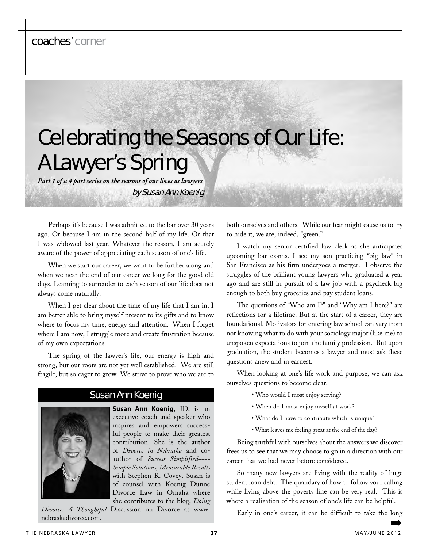# coaches' corner

# Celebrating the Seasons of Our Life: A Lawyer's Spring

*Part 1 of a 4 part series on the seasons of our lives as lawyers*

by Susan Ann Koenig

Perhaps it's because I was admitted to the bar over 30 years ago. Or because I am in the second half of my life. Or that I was widowed last year. Whatever the reason, I am acutely aware of the power of appreciating each season of one's life.

When we start our career, we want to be further along and when we near the end of our career we long for the good old days. Learning to surrender to each season of our life does not always come naturally.

When I get clear about the time of my life that I am in, I am better able to bring myself present to its gifts and to know where to focus my time, energy and attention. When I forget where I am now, I struggle more and create frustration because of my own expectations.

The spring of the lawyer's life, our energy is high and strong, but our roots are not yet well established. We are still fragile, but so eager to grow. We strive to prove who we are to

## Susan Ann Koenig

**Susan Ann Koenig**, JD, is an executive coach and speaker who inspires and empowers successful people to make their greatest contribution. She is the author of *Divorce in Nebraska* and coauthor of *Success Simplified---- Simple Solutions, Measurable Results* with Stephen R. Covey. Susan is of counsel with Koenig Dunne Divorce Law in Omaha where she contributes to the blog, *Doing* 

*Divorce: A Thoughtful* Discussion on Divorce at www. nebraskadivorce.com.

both ourselves and others. While our fear might cause us to try to hide it, we are, indeed, "green."

I watch my senior certified law clerk as she anticipates upcoming bar exams. I see my son practicing "big law" in San Francisco as his firm undergoes a merger. I observe the struggles of the brilliant young lawyers who graduated a year ago and are still in pursuit of a law job with a paycheck big enough to both buy groceries and pay student loans.

The questions of "Who am I?" and "Why am I here?" are reflections for a lifetime. But at the start of a career, they are foundational. Motivators for entering law school can vary from not knowing what to do with your sociology major (like me) to unspoken expectations to join the family profession. But upon graduation, the student becomes a lawyer and must ask these questions anew and in earnest.

When looking at one's life work and purpose, we can ask ourselves questions to become clear.

- Who would I most enjoy serving?
- When do I most enjoy myself at work?
- What do I have to contribute which is unique?
- What leaves me feeling great at the end of the day?

Being truthful with ourselves about the answers we discover frees us to see that we may choose to go in a direction with our career that we had never before considered.

So many new lawyers are living with the reality of huge student loan debt. The quandary of how to follow your calling while living above the poverty line can be very real. This is where a realization of the season of one's life can be helpful.

Early in one's career, it can be difficult to take the long

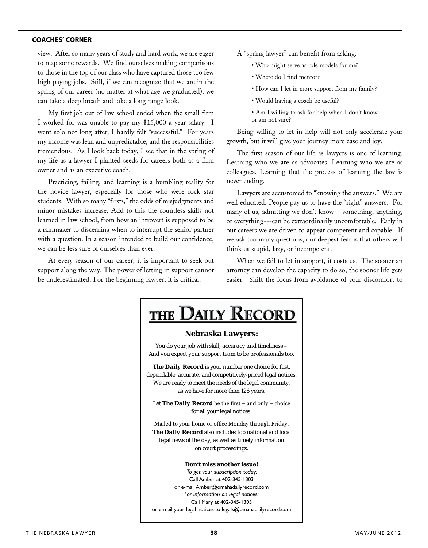### **coaches' corner**

view. After so many years of study and hard work, we are eager to reap some rewards. We find ourselves making comparisons to those in the top of our class who have captured those too few high paying jobs. Still, if we can recognize that we are in the spring of our career (no matter at what age we graduated), we can take a deep breath and take a long range look.

My first job out of law school ended when the small firm I worked for was unable to pay my \$15,000 a year salary. I went solo not long after; I hardly felt "successful." For years my income was lean and unpredictable, and the responsibilities tremendous. As I look back today, I see that in the spring of my life as a lawyer I planted seeds for careers both as a firm owner and as an executive coach.

Practicing, failing, and learning is a humbling reality for the novice lawyer, especially for those who were rock star students. With so many "firsts," the odds of misjudgments and minor mistakes increase. Add to this the countless skills not learned in law school, from how an introvert is supposed to be a rainmaker to discerning when to interrupt the senior partner with a question. In a season intended to build our confidence, we can be less sure of ourselves than ever.

At every season of our career, it is important to seek out support along the way. The power of letting in support cannot be underestimated. For the beginning lawyer, it is critical.

- A "spring lawyer" can benefit from asking:
	- Who might serve as role models for me?
	- Where do I find mentor?
	- How can I let in more support from my family?
	- Would having a coach be useful?
	- Am I willing to ask for help when I don't know or am not sure?

Being willing to let in help will not only accelerate your growth, but it will give your journey more ease and joy.

The first season of our life as lawyers is one of learning. Learning who we are as advocates. Learning who we are as colleagues. Learning that the process of learning the law is never ending.

Lawyers are accustomed to "knowing the answers." We are well educated. People pay us to have the "right" answers. For many of us, admitting we don't know---something, anything, or everything---can be extraordinarily uncomfortable. Early in our careers we are driven to appear competent and capable. If we ask too many questions, our deepest fear is that others will think us stupid, lazy, or incompetent.

When we fail to let in support, it costs us. The sooner an attorney can develop the capacity to do so, the sooner life gets easier. Shift the focus from avoidance of your discomfort to